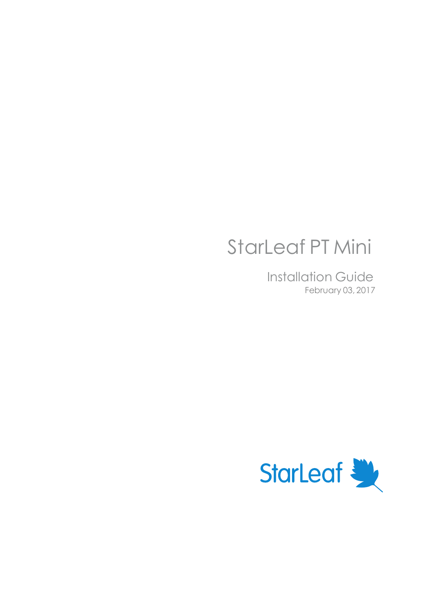# StarLeaf PT Mini

Installation Guide February 03, 2017

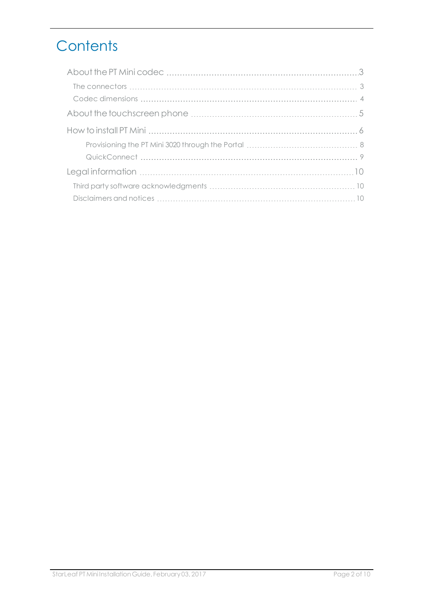## **Contents**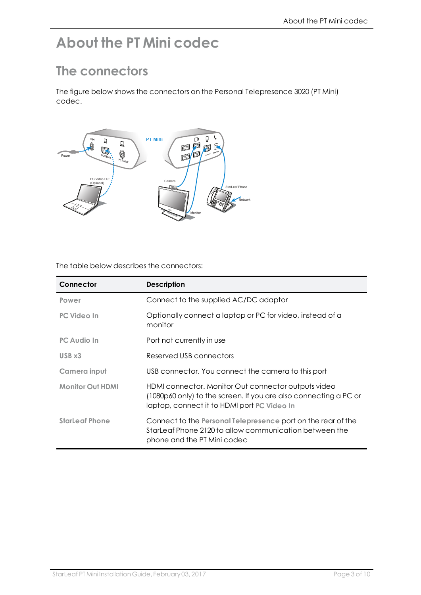## <span id="page-2-1"></span><span id="page-2-0"></span>**About the PT Mini codec**

#### **The connectors**

The figure below shows the connectors on the Personal Telepresence 3020 (PT Mini) codec.



The table below describes the connectors:

| Connector               | <b>Description</b>                                                                                                                                                     |
|-------------------------|------------------------------------------------------------------------------------------------------------------------------------------------------------------------|
| Power                   | Connect to the supplied AC/DC adaptor                                                                                                                                  |
| PC Video In             | Optionally connect a laptop or PC for video, instead of a<br>monitor                                                                                                   |
| <b>PC Audio In</b>      | Port not currently in use                                                                                                                                              |
| USB x3                  | Reserved USB connectors                                                                                                                                                |
| Camera input            | USB connector. You connect the camera to this port                                                                                                                     |
| <b>Monitor Out HDMI</b> | HDMI connector. Monitor Out connector outputs video<br>(1080p60 only) to the screen. If you are also connecting a PC or<br>laptop, connect it to HDMI port PC Video In |
| <b>StarLeaf Phone</b>   | Connect to the Personal Telepresence port on the rear of the<br>StarLeaf Phone 2120 to allow communication between the<br>phone and the PT Mini codec                  |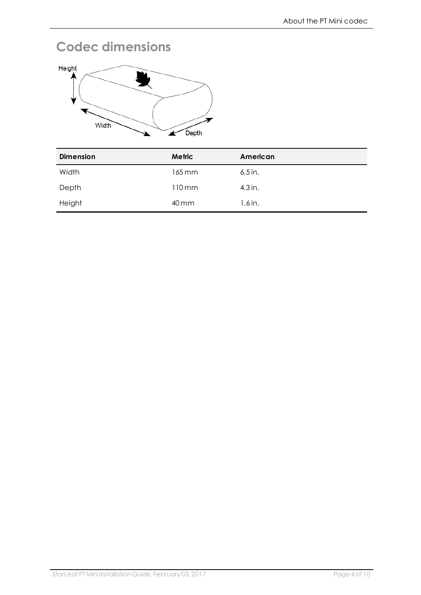### <span id="page-3-0"></span>**Codec dimensions**



| <b>Dimension</b> | Metric              | American  |
|------------------|---------------------|-----------|
| Width            | 165 mm              | $6.5$ in. |
| Depth            | $110 \,\mathrm{mm}$ | $4.3$ in. |
| Height           | 40 mm               | $1.6$ in. |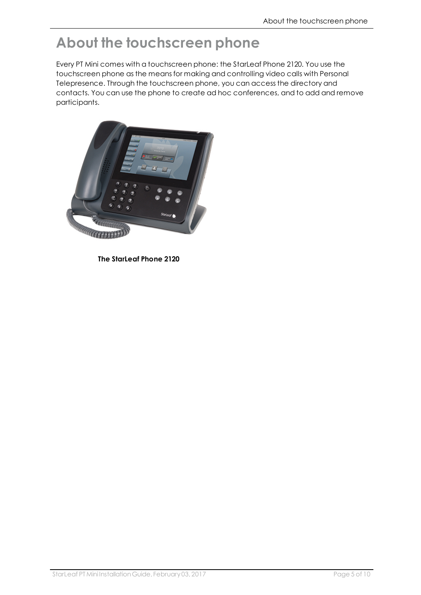### <span id="page-4-0"></span>**About the touchscreen phone**

Every PT Mini comes with a touchscreen phone: the StarLeaf Phone 2120. You use the touchscreen phone as the means for making and controlling video calls with Personal Telepresence. Through the touchscreen phone, you can access the directory and contacts. You can use the phone to create ad hoc conferences, and to add and remove participants.



**The StarLeaf Phone 2120**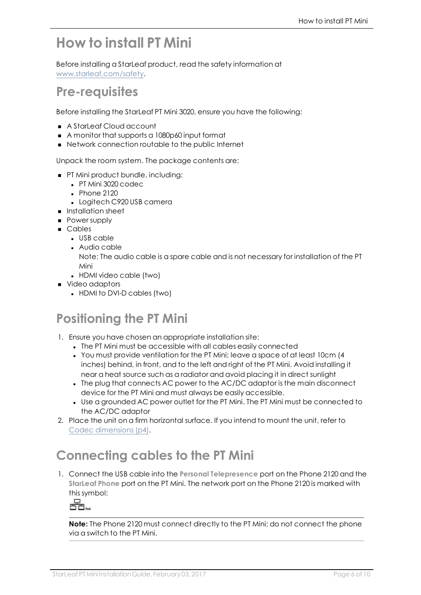### <span id="page-5-0"></span>**How to install PT Mini**

Before installing a StarLeaf product, read the safety information at [www.starleaf.com/safety](http://www.starleaf.com/safety).

#### **Pre-requisites**

Before installing the StarLeaf PT Mini 3020, ensure you have the following:

- A StarLeaf Cloud account
- <sup>n</sup> A monitor that supports a 1080p60 input format
- Network connection routable to the public Internet

Unpack the room system. The package contents are:

- PT Mini product bundle, including:
	- PT Mini 3020 codec
	- $\cdot$  Phone 2120
	- Logitech C920 USB camera
- **n** Installation sheet
- **Power supply**
- <sup>n</sup> Cables
	- $\blacksquare$  USB cable
	- Audio cable
		- Note: The audio cable is a spare cable and is not necessary for installation of the PT Mini
	- HDMI video cable (two)
- **No Video adaptors** 
	- HDMI to DVI-D cables (two)

### **Positioning the PT Mini**

- 1. Ensure you have chosen an appropriate installation site:
	- The PT Mini must be accessible with all cables easily connected
	- <sup>l</sup> You must provide ventilation for the PT Mini; leave a space of at least 10cm (4 inches) behind, in front, and to the left and right of the PT Mini. Avoid installing it near a heat source such as a radiator and avoid placing it in direct sunlight
	- The plug that connects AC power to the AC/DC adaptor is the main disconnect device for the PT Mini and must always be easily accessible.
	- Use a grounded AC power outlet for the PT Mini. The PT Mini must be connected to the AC/DC adaptor
- 2. Place the unit on a firm horizontal surface. If you intend to mount the unit, refer to Codec [dimensions](#page-3-0) (p4).

### **Connecting cables to the PT Mini**

1. Connect the USB cable into the **Personal Telepresence** port on the Phone 2120 and the **StarLeaf Phone** port on the PT Mini. The network port on the Phone 2120 is marked with this symbol:

Q

**Note:** The Phone 2120 must connect directly to the PT Mini; do not connect the phone via a switch to the PT Mini.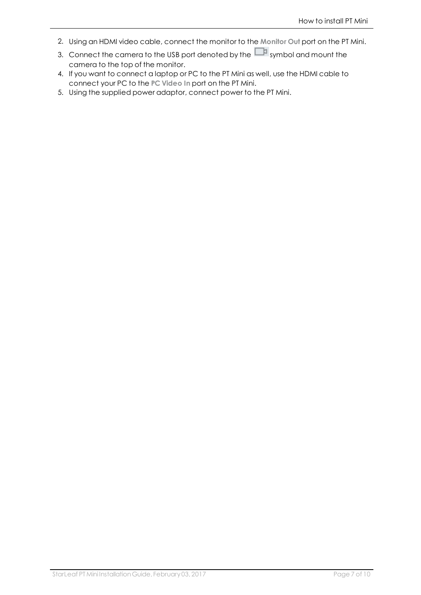- 2. Using an HDMI video cable, connect the monitor to the **Monitor Out** port on the PT Mini.
- 3. Connect the camera to the USB port denoted by the  $\Box$  symbol and mount the camera to the top of the monitor.
- 4. If you want to connect a laptop or PC to the PT Mini as well, use the HDMI cable to connect your PC to the **PC Video In** port on the PT Mini.
- 5. Using the supplied power adaptor, connect power to the PT Mini.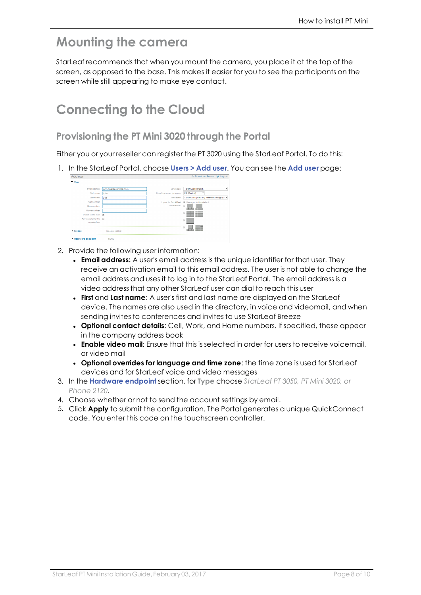#### **Mounting the camera**

StarLeaf recommends that when you mount the camera, you place it at the top of the screen, as opposed to the base. This makes it easier for you to see the participants on the screen while still appearing to make eye contact.

#### **Connecting to the Cloud**

#### <span id="page-7-0"></span>**Provisioning the PT Mini 3020 through the Portal**

Either you or your reseller can register the PT 3020 using the StarLeaf Portal. To do this:

1. In the StarLeaf Portal, choose **Users > Add user**. You can see the **Add user** page:

| Add user                                    |                       |                             | ▲ Download Breeze <b>B</b> Log out                         |
|---------------------------------------------|-----------------------|-----------------------------|------------------------------------------------------------|
| <b>V</b> User                               |                       |                             |                                                            |
| Email address:                              | john.doe@example.com  | Language:                   | -- DEFAULT: English --<br>٠                                |
| First name:                                 | John                  | Show time zones for region: | <b>US</b> (Central)<br>۰                                   |
| Lost name:                                  | Doe                   | Time zone:                  | -- DEFAULT: [UTC-06] America/Chicago (C) =                 |
| Cell number                                 |                       |                             | Layout for QuickMeet <sup>@</sup> Use organization default |
| Work number:                                |                       | conferences: @              |                                                            |
| Home number:                                |                       |                             | distant and                                                |
| Enable video mail: M                        |                       |                             | e                                                          |
| Administrator for this III<br>organization: |                       |                             | $\odot$                                                    |
| <b>&gt;</b> Breeze                          | <b>Breeze engbled</b> |                             | e                                                          |
| Hardware endpoint                           | $-$ NONE $-$          |                             |                                                            |

- 2. Provide the following user information:
	- **Email address:** A user's email address is the unique identifier for that user. They receive an activation email to this email address. The user is not able to change the email address and uses it to log in to the StarLeaf Portal. The email address is a video address that any other StarLeaf user can dial to reach this user
	- **First** and Last name: A user's first and last name are displayed on the StarLeaf device. The names are also used in the directory, in voice and videomail, and when sending invites to conferences and invites to use StarLeaf Breeze
	- <sup>l</sup> **Optional contact details**: Cell, Work, and Home numbers. If specified, these appear in the company address book
	- <sup>l</sup> **Enable video mail**: Ensure that this is selected in order for users to receive voicemail, or video mail
	- <sup>l</sup> **Optional overrides for language and time zone**: the time zone is used for StarLeaf devices and for StarLeaf voice and video messages
- 3. In the **Hardware endpoint** section, for **Type** choose *StarLeaf PT 3050, PT Mini 3020, or Phone 2120*.
- 4. Choose whether or not to send the account settings by email.
- 5. Click **Apply** to submit the configuration. The Portal generates a unique QuickConnect code. You enter this code on the touchscreen controller.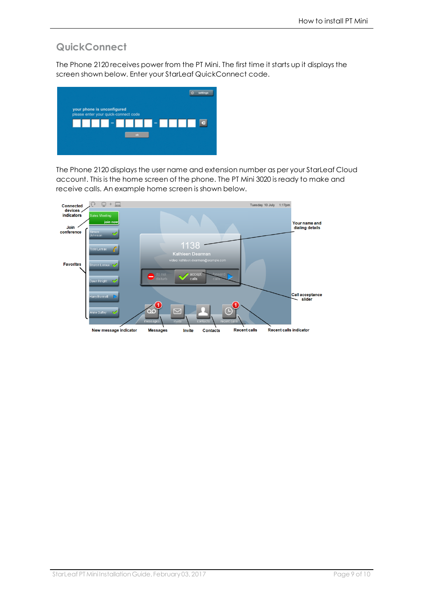#### <span id="page-8-0"></span>**QuickConnect**

The Phone 2120 receives power from the PT Mini. The first time it starts up it displays the screen shown below. Enter your StarLeaf QuickConnect code.



The Phone 2120 displays the user name and extension number as per your StarLeaf Cloud account. This is the home screen of the phone. The PT Mini 3020 is ready to make and receive calls. An example home screen is shown below.